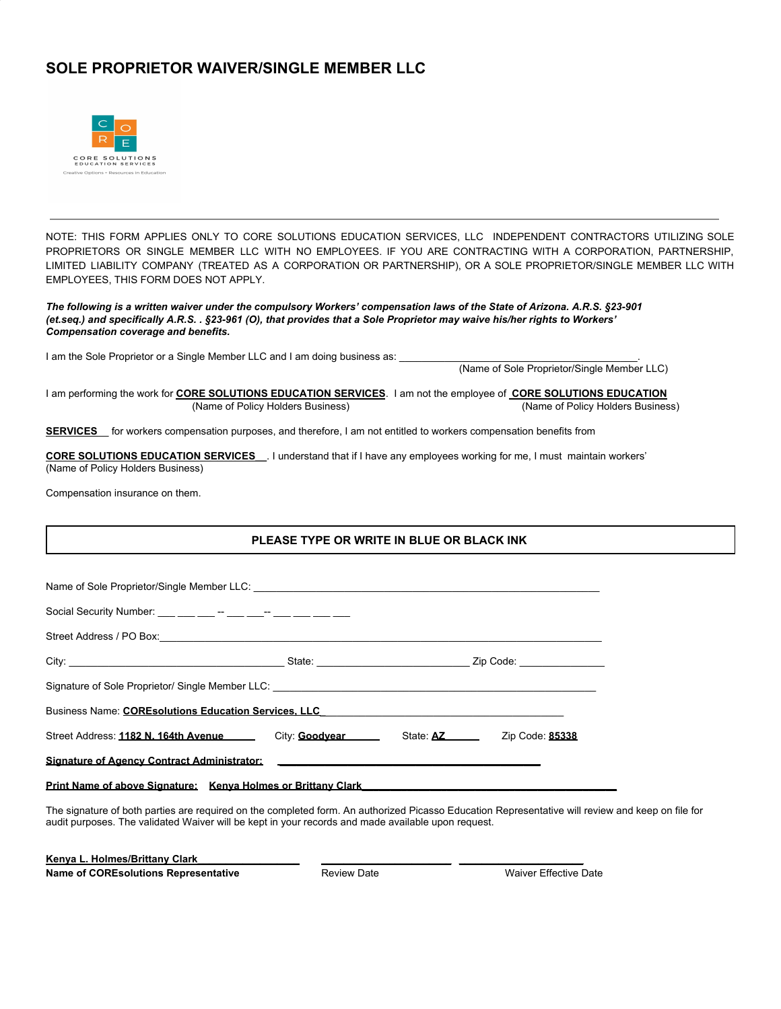## **SOLE PROPRIETOR WAIVER/SINGLE MEMBER LLC**



NOTE: THIS FORM APPLIES ONLY TO CORE SOLUTIONS EDUCATION SERVICES, LLC INDEPENDENT CONTRACTORS UTILIZING SOLE PROPRIETORS OR SINGLE MEMBER LLC WITH NO EMPLOYEES. IF YOU ARE CONTRACTING WITH A CORPORATION, PARTNERSHIP, LIMITED LIABILITY COMPANY (TREATED AS A CORPORATION OR PARTNERSHIP), OR A SOLE PROPRIETOR/SINGLE MEMBER LLC WITH EMPLOYEES, THIS FORM DOES NOT APPLY.

The following is a written waiver under the compulsory Workers' compensation laws of the State of Arizona. A.R.S. §23-901 (et.seq.) and specifically A.R.S. . §23-961 (O), that provides that a Sole Proprietor may waive his/her rights to Workers' *Compensation coverage and benefits.*

I am the Sole Proprietor or a Single Member LLC and I am doing business as:

(Name of Sole Proprietor/Single Member LLC)

I am performing the work for **CORE SOLUTIONS EDUCATION SERVICES**. I am not the employee of **CORE SOLUTIONS EDUCATION** (Name of Policy Holders Business) (Name of Policy Holders Business)

**SERVICES** for workers compensation purposes, and therefore, I am not entitled to workers compensation benefits from

**CORE SOLUTIONS EDUCATION SERVICES\_\_**. I understand that if I have any employees working for me, I must maintain workers' (Name of Policy Holders Business)

Compensation insurance on them.

## **PLEASE TYPE OR WRITE IN BLUE OR BLACK INK**

| Business Name: COREsolutions Education Services, LLC                                       |  |  |  |
|--------------------------------------------------------------------------------------------|--|--|--|
| Street Address: 1182 N. 164th Avenue City: Goodyear State: AZ Zip Code: 85338              |  |  |  |
|                                                                                            |  |  |  |
| <u>Print Name of above Signature: Kenva Holmes or Brittany Clark Name (Name Name Name)</u> |  |  |  |

The signature of both parties are required on the completed form. An authorized Picasso Education Representative will review and keep on file for audit purposes. The validated Waiver will be kept in your records and made available upon request.

**Kenya L. Holmes/Brittany Clark\_\_\_\_\_\_\_\_\_\_\_\_\_\_\_\_\_\_ \_\_\_\_\_\_\_\_\_\_\_\_\_\_\_\_\_\_\_\_\_\_\_ \_\_\_\_\_\_\_\_\_\_\_\_\_\_\_\_\_\_\_\_\_\_ Name of COREsolutions Representative Review Date** Review Date **Review Date Review Date Representative Review Date Representative Review Date Representative Representative Representative Representative**